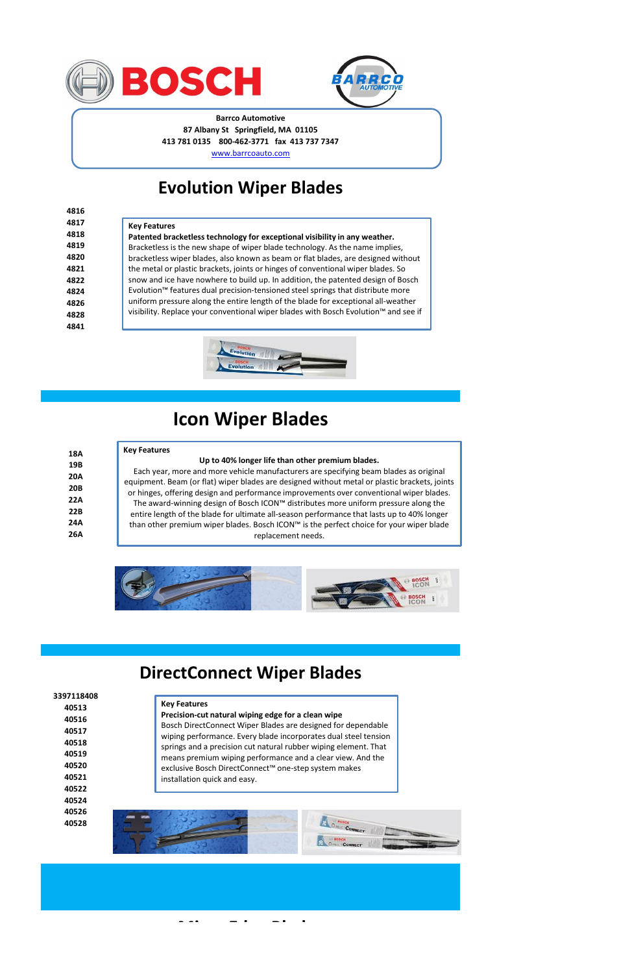| 18A  |  |
|------|--|
| 19B  |  |
| 20A  |  |
| 20B  |  |
| 22 A |  |
| 22 B |  |
| 24 A |  |
| 26A  |  |

**3397118408 40513**

> **40524 40526**

**40528**





## **Icon Wiper Blades**

### **Evolution Wiper Blades**

### **DirectConnect Wiper Blades**

**Micro Edge Blades**





#### **Barrco Automotive 87 Albany St Springfield, MA 01105 413 781 0135 800-462-3771 fax 413 737 7347** [w](http://www.barrcoauto.com/)ww.barrcoauto.com

| 4816 |                                                                                             |
|------|---------------------------------------------------------------------------------------------|
| 4817 | <b>Key Features</b>                                                                         |
| 4818 | Patented bracketless technology for exceptional visibility in any weather.                  |
| 4819 | Bracketless is the new shape of wiper blade technology. As the name implies,                |
| 4820 | bracketless wiper blades, also known as beam or flat blades, are designed without           |
| 4821 | the metal or plastic brackets, joints or hinges of conventional wiper blades. So            |
| 4822 | snow and ice have nowhere to build up. In addition, the patented design of Bosch            |
| 4824 | Evolution <sup>™</sup> features dual precision-tensioned steel springs that distribute more |
| 4826 | uniform pressure along the entire length of the blade for exceptional all-weather           |
| 4828 | visibility. Replace your conventional wiper blades with Bosch Evolution™ and see if         |
| 4841 |                                                                                             |



#### **Key Features**

#### **Up to 40% longer life than other premium blades.**

Each year, more and more vehicle manufacturers are specifying beam blades as original equipment. Beam (or flat) wiper blades are designed without metal or plastic brackets, joints or hinges, offering design and performance improvements over conventional wiper blades. The award-winning design of Bosch ICON™ distributes more uniform pressure along the entire length of the blade for ultimate all-season performance that lasts up to 40% longer than other premium wiper blades. Bosch ICON™ is the perfect choice for your wiper blade replacement needs.



**Key Features Precision-cut natural wiping edge for a clean wipe**